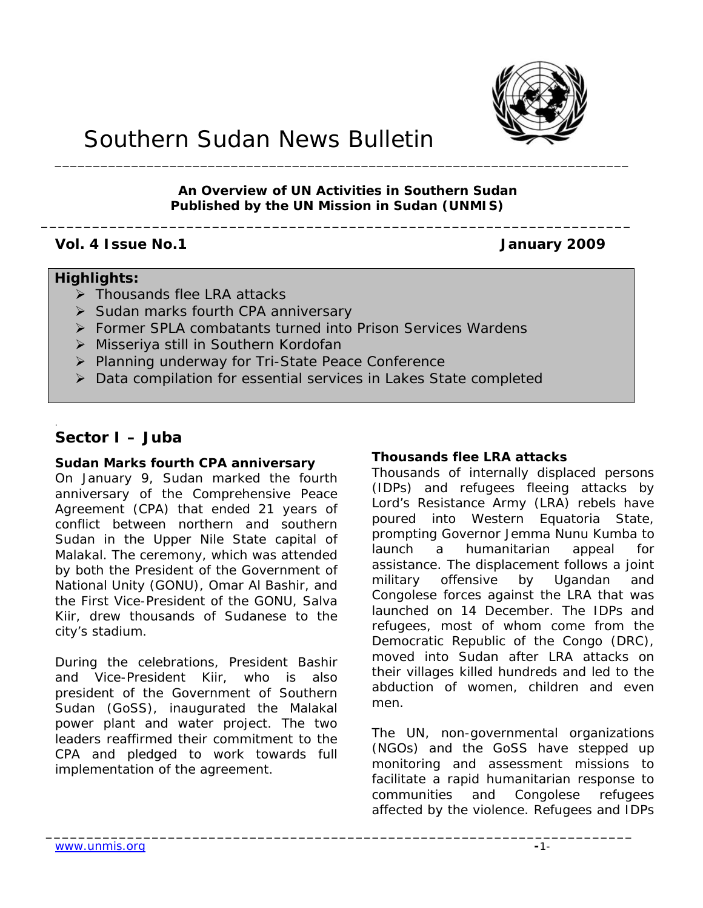

# Southern Sudan News Bulletin

# **An Overview of UN Activities in Southern Sudan Published by the UN Mission in Sudan (UNMIS)**

**\_\_\_\_\_\_\_\_\_\_\_\_\_\_\_\_\_\_\_\_\_\_\_\_\_\_\_\_\_\_\_\_\_\_\_\_\_\_\_\_\_\_\_\_\_\_\_\_\_\_\_\_\_\_\_\_\_\_\_\_\_\_\_\_\_\_\_\_\_** 

# **Vol. 4 Issue No.1 January 2009**

# **Highlights:**

- ¾ Thousands flee LRA attacks
- ¾ Sudan marks fourth CPA anniversary
- ¾ Former SPLA combatants turned into Prison Services Wardens
- ¾ Misseriya still in Southern Kordofan
- ¾ Planning underway for Tri-State Peace Conference
- ¾ Data compilation for essential services in Lakes State completed

**\_\_\_\_\_\_\_\_\_\_\_\_\_\_\_\_\_\_\_\_\_\_\_\_\_\_\_\_\_\_\_\_\_\_\_\_\_\_\_\_\_\_\_\_\_\_\_\_\_\_\_\_\_\_\_\_\_\_\_\_\_\_\_\_\_\_\_\_\_\_\_\_**

# **Sector I – Juba**

.

# **Sudan Marks fourth CPA anniversary**

On January 9, Sudan marked the fourth anniversary of the Comprehensive Peace Agreement (CPA) that ended 21 years of conflict between northern and southern Sudan in the Upper Nile State capital of Malakal. The ceremony, which was attended by both the President of the Government of National Unity (GONU), Omar Al Bashir, and the First Vice-President of the GONU, Salva Kiir, drew thousands of Sudanese to the city's stadium.

During the celebrations, President Bashir and Vice-President Kiir, who is also president of the Government of Southern Sudan (GoSS), inaugurated the Malakal power plant and water project. The two leaders reaffirmed their commitment to the CPA and pledged to work towards full implementation of the agreement.

# **Thousands flee LRA attacks**

Thousands of internally displaced persons (IDPs) and refugees fleeing attacks by Lord's Resistance Army (LRA) rebels have poured into Western Equatoria State, prompting Governor Jemma Nunu Kumba to launch a humanitarian appeal for assistance. The displacement follows a joint military offensive by Ugandan and Congolese forces against the LRA that was launched on 14 December. The IDPs and refugees, most of whom come from the Democratic Republic of the Congo (DRC), moved into Sudan after LRA attacks on their villages killed hundreds and led to the abduction of women, children and even men.

The UN, non-governmental organizations (NGOs) and the GoSS have stepped up monitoring and assessment missions to facilitate a rapid humanitarian response to communities and Congolese refugees affected by the violence. Refugees and IDPs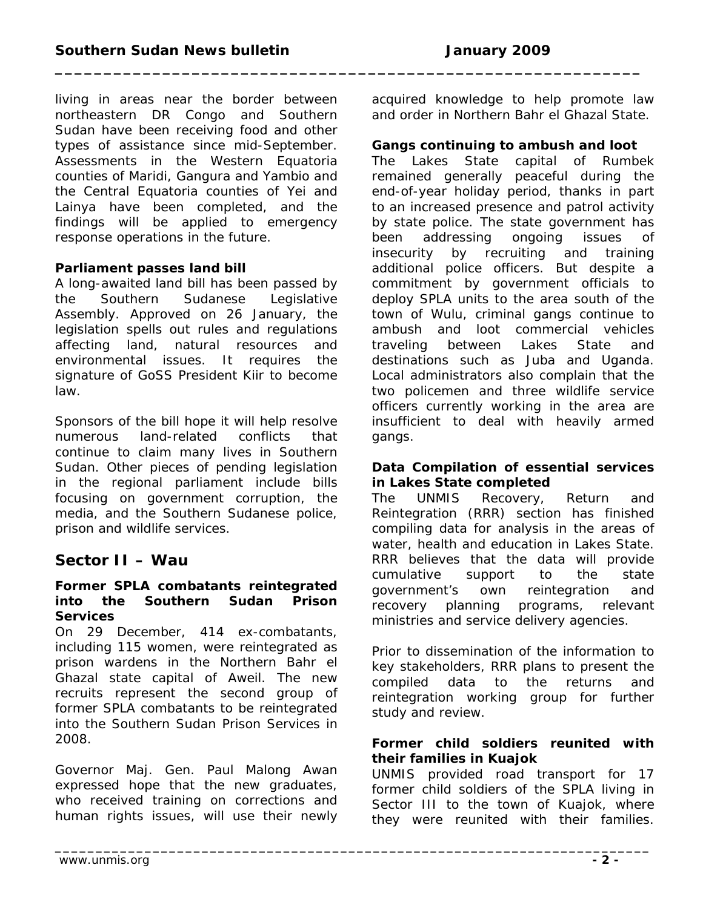**\_\_\_\_\_\_\_\_\_\_\_\_\_\_\_\_\_\_\_\_\_\_\_\_\_\_\_\_\_\_\_\_\_\_\_\_\_\_\_\_\_\_\_\_\_\_\_\_\_\_\_\_\_\_\_\_\_\_\_\_\_\_\_\_\_\_\_\_\_\_\_\_\_**

living in areas near the border between northeastern DR Congo and Southern Sudan have been receiving food and other types of assistance since mid-September. Assessments in the Western Equatoria counties of Maridi, Gangura and Yambio and the Central Equatoria counties of Yei and Lainya have been completed, and the findings will be applied to emergency response operations in the future.

# **Parliament passes land bill**

A long-awaited land bill has been passed by the Southern Sudanese Legislative Assembly. Approved on 26 January, the legislation spells out rules and regulations affecting land, natural resources and environmental issues. It requires the signature of GoSS President Kiir to become law.

Sponsors of the bill hope it will help resolve numerous land-related conflicts that continue to claim many lives in Southern Sudan. Other pieces of pending legislation in the regional parliament include bills focusing on government corruption, the media, and the Southern Sudanese police, prison and wildlife services.

# **Sector II – Wau**

#### **Former SPLA combatants reintegrated into the Southern Sudan Prison Services**

On 29 December, 414 ex-combatants, including 115 women, were reintegrated as prison wardens in the Northern Bahr el Ghazal state capital of Aweil. The new recruits represent the second group of former SPLA combatants to be reintegrated into the Southern Sudan Prison Services in 2008.

Governor Maj. Gen. Paul Malong Awan expressed hope that the new graduates, who received training on corrections and human rights issues, will use their newly acquired knowledge to help promote law and order in Northern Bahr el Ghazal State.

#### **Gangs continuing to ambush and loot**

The Lakes State capital of Rumbek remained generally peaceful during the end-of-year holiday period, thanks in part to an increased presence and patrol activity by state police. The state government has been addressing ongoing issues of insecurity by recruiting and training additional police officers. But despite a commitment by government officials to deploy SPLA units to the area south of the town of Wulu, criminal gangs continue to ambush and loot commercial vehicles traveling between Lakes State and destinations such as Juba and Uganda. Local administrators also complain that the two policemen and three wildlife service officers currently working in the area are insufficient to deal with heavily armed gangs.

#### **Data Compilation of essential services in Lakes State completed**

The UNMIS Recovery, Return and Reintegration (RRR) section has finished compiling data for analysis in the areas of water, health and education in Lakes State. RRR believes that the data will provide cumulative support to the state government's own reintegration and recovery planning programs, relevant ministries and service delivery agencies.

Prior to dissemination of the information to key stakeholders, RRR plans to present the compiled data to the returns and reintegration working group for further study and review.

#### **Former child soldiers reunited with their families in Kuajok**

UNMIS provided road transport for 17 former child soldiers of the SPLA living in Sector III to the town of Kuajok, where they were reunited with their families.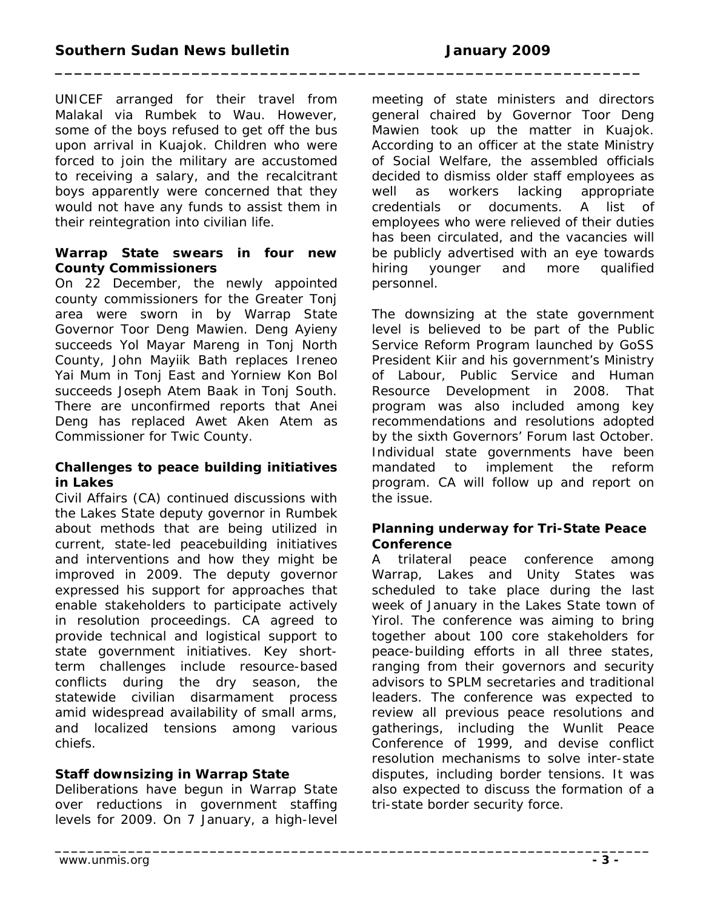**\_\_\_\_\_\_\_\_\_\_\_\_\_\_\_\_\_\_\_\_\_\_\_\_\_\_\_\_\_\_\_\_\_\_\_\_\_\_\_\_\_\_\_\_\_\_\_\_\_\_\_\_\_\_\_\_\_\_\_\_\_\_\_\_\_\_\_\_\_\_\_\_\_**

UNICEF arranged for their travel from Malakal via Rumbek to Wau. However, some of the boys refused to get off the bus upon arrival in Kuajok. Children who were forced to join the military are accustomed to receiving a salary, and the recalcitrant boys apparently were concerned that they would not have any funds to assist them in their reintegration into civilian life.

# **Warrap State swears in four new County Commissioners**

On 22 December, the newly appointed county commissioners for the Greater Tonj area were sworn in by Warrap State Governor Toor Deng Mawien. Deng Ayieny succeeds Yol Mayar Mareng in Tonj North County, John Mayiik Bath replaces Ireneo Yai Mum in Tonj East and Yorniew Kon Bol succeeds Joseph Atem Baak in Tonj South. There are unconfirmed reports that Anei Deng has replaced Awet Aken Atem as Commissioner for Twic County.

# **Challenges to peace building initiatives in Lakes**

Civil Affairs (CA) continued discussions with the Lakes State deputy governor in Rumbek about methods that are being utilized in current, state-led peacebuilding initiatives and interventions and how they might be improved in 2009. The deputy governor expressed his support for approaches that enable stakeholders to participate actively in resolution proceedings. CA agreed to provide technical and logistical support to state government initiatives. Key shortterm challenges include resource-based conflicts during the dry season, the statewide civilian disarmament process amid widespread availability of small arms, and localized tensions among various chiefs.

# **Staff downsizing in Warrap State**

Deliberations have begun in Warrap State over reductions in government staffing levels for 2009. On 7 January, a high-level meeting of state ministers and directors general chaired by Governor Toor Deng Mawien took up the matter in Kuajok. According to an officer at the state Ministry of Social Welfare, the assembled officials decided to dismiss older staff employees as well as workers lacking appropriate credentials or documents. A list of employees who were relieved of their duties has been circulated, and the vacancies will be publicly advertised with an eye towards hiring younger and more qualified personnel.

The downsizing at the state government level is believed to be part of the Public Service Reform Program launched by GoSS President Kiir and his government's Ministry of Labour, Public Service and Human Resource Development in 2008. That program was also included among key recommendations and resolutions adopted by the sixth Governors' Forum last October. Individual state governments have been mandated to implement the reform program. CA will follow up and report on the issue.

# **Planning underway for Tri-State Peace Conference**

A trilateral peace conference among Warrap, Lakes and Unity States was scheduled to take place during the last week of January in the Lakes State town of Yirol. The conference was aiming to bring together about 100 core stakeholders for peace-building efforts in all three states, ranging from their governors and security advisors to SPLM secretaries and traditional leaders. The conference was expected to review all previous peace resolutions and gatherings, including the Wunlit Peace Conference of 1999, and devise conflict resolution mechanisms to solve inter-state disputes, including border tensions. It was also expected to discuss the formation of a tri-state border security force.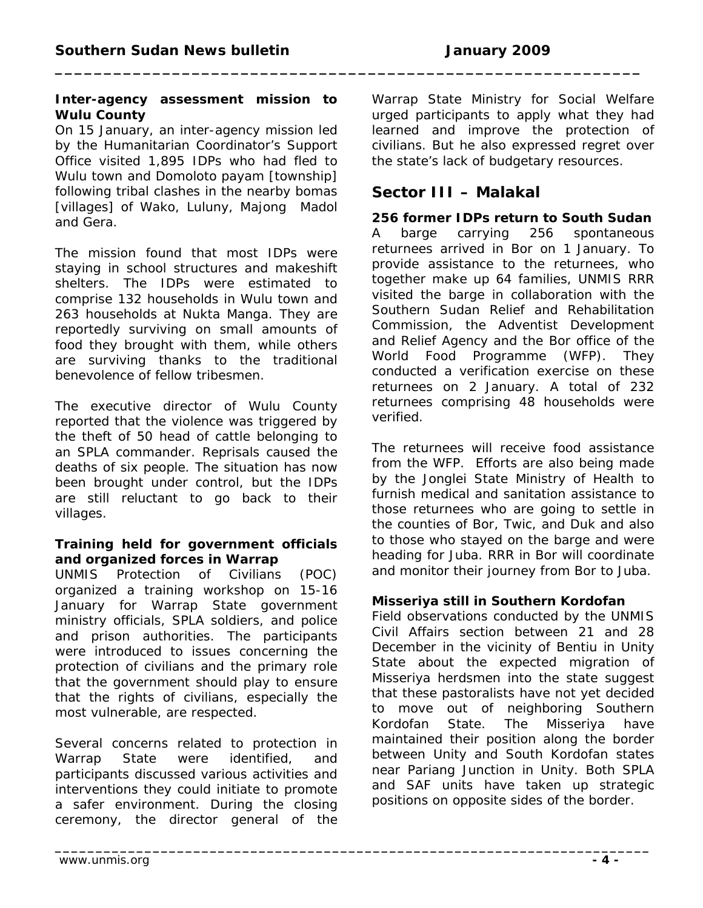#### **Inter-agency assessment mission to Wulu County**

On 15 January, an inter-agency mission led by the Humanitarian Coordinator's Support Office visited 1,895 IDPs who had fled to Wulu town and Domoloto *payam* [township] following tribal clashes in the nearby *bomas*  [villages] of Wako, Luluny, Majong Madol and Gera.

The mission found that most IDPs were staying in school structures and makeshift shelters. The IDPs were estimated to comprise 132 households in Wulu town and 263 households at Nukta Manga. They are reportedly surviving on small amounts of food they brought with them, while others are surviving thanks to the traditional benevolence of fellow tribesmen.

The executive director of Wulu County reported that the violence was triggered by the theft of 50 head of cattle belonging to an SPLA commander. Reprisals caused the deaths of six people. The situation has now been brought under control, but the IDPs are still reluctant to go back to their villages.

### **Training held for government officials and organized forces in Warrap**

UNMIS Protection of Civilians (POC) organized a training workshop on 15-16 January for Warrap State government ministry officials, SPLA soldiers, and police and prison authorities. The participants were introduced to issues concerning the protection of civilians and the primary role that the government should play to ensure that the rights of civilians, especially the most vulnerable, are respected.

Several concerns related to protection in Warrap State were identified, and participants discussed various activities and interventions they could initiate to promote a safer environment. During the closing ceremony, the director general of the

Warrap State Ministry for Social Welfare urged participants to apply what they had learned and improve the protection of civilians. But he also expressed regret over the state's lack of budgetary resources.

# **Sector III – Malakal**

**\_\_\_\_\_\_\_\_\_\_\_\_\_\_\_\_\_\_\_\_\_\_\_\_\_\_\_\_\_\_\_\_\_\_\_\_\_\_\_\_\_\_\_\_\_\_\_\_\_\_\_\_\_\_\_\_\_\_\_\_**

**\_\_\_\_\_\_\_\_\_\_\_\_\_\_\_\_\_\_\_\_\_\_\_\_\_\_\_\_\_\_\_\_\_\_\_\_\_\_\_\_\_\_\_\_\_\_\_\_\_\_\_\_\_\_\_\_\_\_\_\_\_\_\_\_\_\_\_\_\_\_\_\_\_**

**256 former IDPs return to South Sudan**  A barge carrying 256 spontaneous returnees arrived in Bor on 1 January. To provide assistance to the returnees, who together make up 64 families, UNMIS RRR visited the barge in collaboration with the Southern Sudan Relief and Rehabilitation Commission, the Adventist Development and Relief Agency and the Bor office of the World Food Programme (WFP). They conducted a verification exercise on these returnees on 2 January. A total of 232 returnees comprising 48 households were verified.

The returnees will receive food assistance from the WFP. Efforts are also being made by the Jonglei State Ministry of Health to furnish medical and sanitation assistance to those returnees who are going to settle in the counties of Bor, Twic, and Duk and also to those who stayed on the barge and were heading for Juba. RRR in Bor will coordinate and monitor their journey from Bor to Juba.

# **Misseriya still in Southern Kordofan**

Field observations conducted by the UNMIS Civil Affairs section between 21 and 28 December in the vicinity of Bentiu in Unity State about the expected migration of Misseriya herdsmen into the state suggest that these pastoralists have not yet decided to move out of neighboring Southern Kordofan State. The Misseriya have maintained their position along the border between Unity and South Kordofan states near Pariang Junction in Unity. Both SPLA and SAF units have taken up strategic positions on opposite sides of the border.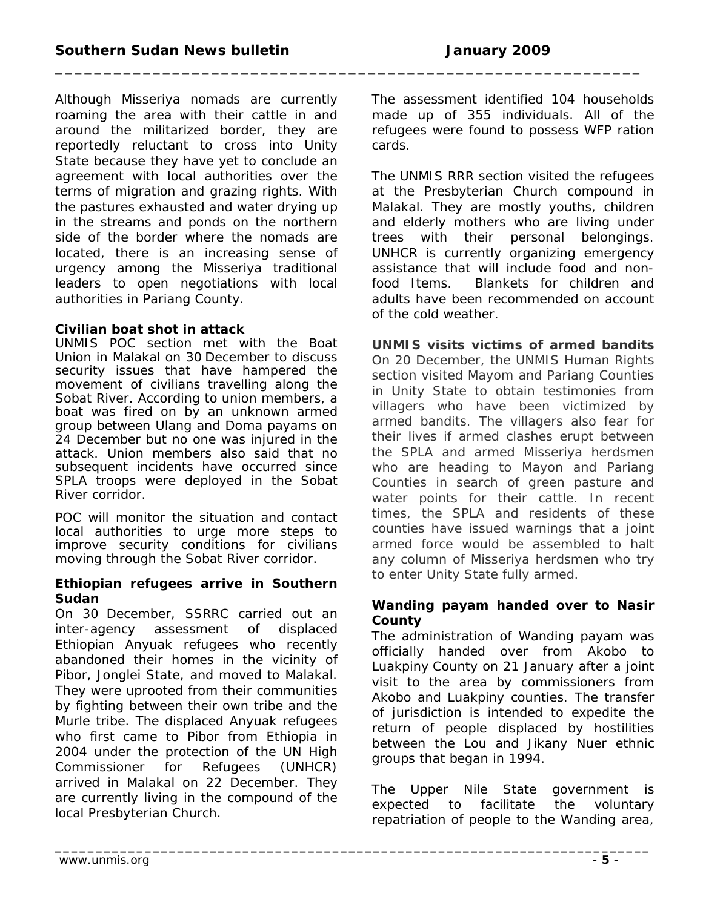**\_\_\_\_\_\_\_\_\_\_\_\_\_\_\_\_\_\_\_\_\_\_\_\_\_\_\_\_\_\_\_\_\_\_\_\_\_\_\_\_\_\_\_\_\_\_\_\_\_\_\_\_\_\_\_\_\_\_\_\_\_\_\_\_\_\_\_\_\_\_\_\_\_**

Although Misseriya nomads are currently roaming the area with their cattle in and around the militarized border, they are reportedly reluctant to cross into Unity State because they have yet to conclude an agreement with local authorities over the terms of migration and grazing rights. With the pastures exhausted and water drying up in the streams and ponds on the northern side of the border where the nomads are located, there is an increasing sense of urgency among the Misseriya traditional leaders to open negotiations with local authorities in Pariang County.

### **Civilian boat shot in attack**

UNMIS POC section met with the Boat Union in Malakal on 30 December to discuss security issues that have hampered the movement of civilians travelling along the Sobat River. According to union members, a boat was fired on by an unknown armed group between Ulang and Doma *payams* on 24 December but no one was injured in the attack. Union members also said that no subsequent incidents have occurred since SPLA troops were deployed in the Sobat River corridor.

POC will monitor the situation and contact local authorities to urge more steps to improve security conditions for civilians moving through the Sobat River corridor.

#### **Ethiopian refugees arrive in Southern Sudan**

On 30 December, SSRRC carried out an inter-agency assessment of displaced Ethiopian Anyuak refugees who recently abandoned their homes in the vicinity of Pibor, Jonglei State, and moved to Malakal. They were uprooted from their communities by fighting between their own tribe and the Murle tribe. The displaced Anyuak refugees who first came to Pibor from Ethiopia in 2004 under the protection of the UN High Commissioner for Refugees (UNHCR) arrived in Malakal on 22 December. They are currently living in the compound of the local Presbyterian Church.

The assessment identified 104 households made up of 355 individuals. All of the refugees were found to possess WFP ration cards.

The UNMIS RRR section visited the refugees at the Presbyterian Church compound in Malakal. They are mostly youths, children and elderly mothers who are living under trees with their personal belongings. UNHCR is currently organizing emergency assistance that will include food and nonfood Items. Blankets for children and adults have been recommended on account of the cold weather.

**UNMIS visits victims of armed bandits** On 20 December, the UNMIS Human Rights section visited Mayom and Pariang Counties in Unity State to obtain testimonies from villagers who have been victimized by armed bandits. The villagers also fear for their lives if armed clashes erupt between the SPLA and armed Misseriya herdsmen who are heading to Mayon and Pariang Counties in search of green pasture and water points for their cattle. In recent times, the SPLA and residents of these counties have issued warnings that a joint armed force would be assembled to halt any column of Misseriya herdsmen who try to enter Unity State fully armed.

### **Wanding payam handed over to Nasir County**

The administration of Wanding *payam* was officially handed over from Akobo to Luakpiny County on 21 January after a joint visit to the area by commissioners from Akobo and Luakpiny counties. The transfer of jurisdiction is intended to expedite the return of people displaced by hostilities between the Lou and Jikany Nuer ethnic groups that began in 1994.

The Upper Nile State government is expected to facilitate the voluntary repatriation of people to the Wanding area,